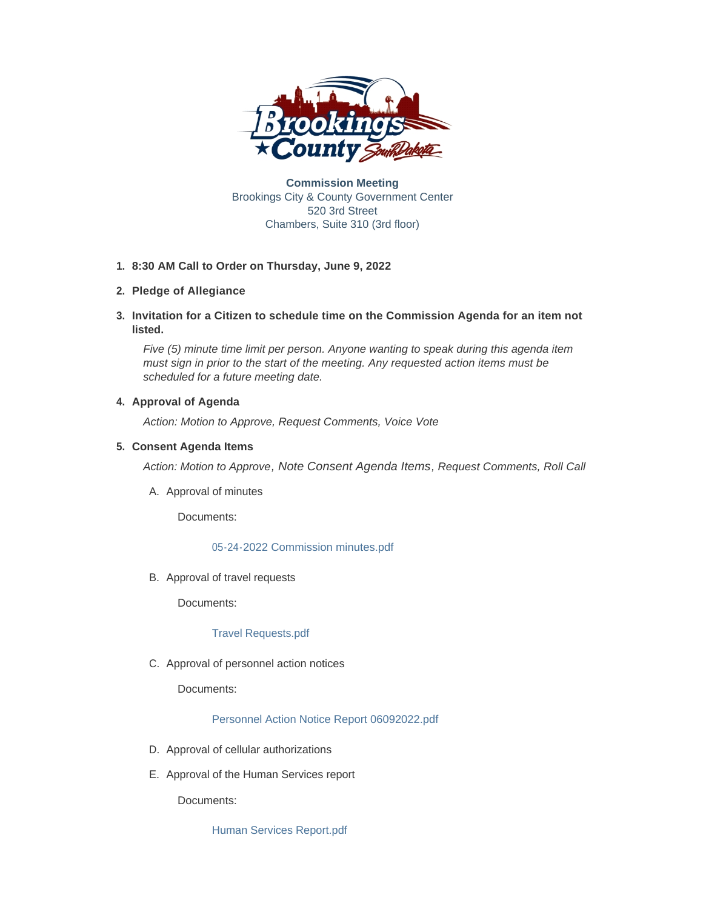

**Commission Meeting** Brookings City & County Government Center 520 3rd Street Chambers, Suite 310 (3rd floor)

## **8:30 AM Call to Order on Thursday, June 9, 2022 1.**

# **Pledge of Allegiance 2.**

**Invitation for a Citizen to schedule time on the Commission Agenda for an item not 3. listed.**

*Five (5) minute time limit per person. Anyone wanting to speak during this agenda item must sign in prior to the start of the meeting. Any requested action items must be scheduled for a future meeting date.* 

# **4. Approval of Agenda**

*Action: Motion to Approve, Request Comments, Voice Vote* 

## **Consent Agenda Items 5.**

*Action: Motion to Approve, Note Consent Agenda Items, Request Comments, Roll Call*

A. Approval of minutes

Documents:

## [05-24-2022 Commission minutes.pdf](http://sd-brookingscounty2.civicplus.com/AgendaCenter/ViewFile/Item/12381?fileID=10351)

B. Approval of travel requests

Documents:

## [Travel Requests.pdf](http://sd-brookingscounty2.civicplus.com/AgendaCenter/ViewFile/Item/12382?fileID=10352)

C. Approval of personnel action notices

Documents:

[Personnel Action Notice Report 06092022.pdf](http://sd-brookingscounty2.civicplus.com/AgendaCenter/ViewFile/Item/12384?fileID=10353)

- D. Approval of cellular authorizations
- E. Approval of the Human Services report

Documents:

[Human Services Report.pdf](http://sd-brookingscounty2.civicplus.com/AgendaCenter/ViewFile/Item/12385?fileID=10354)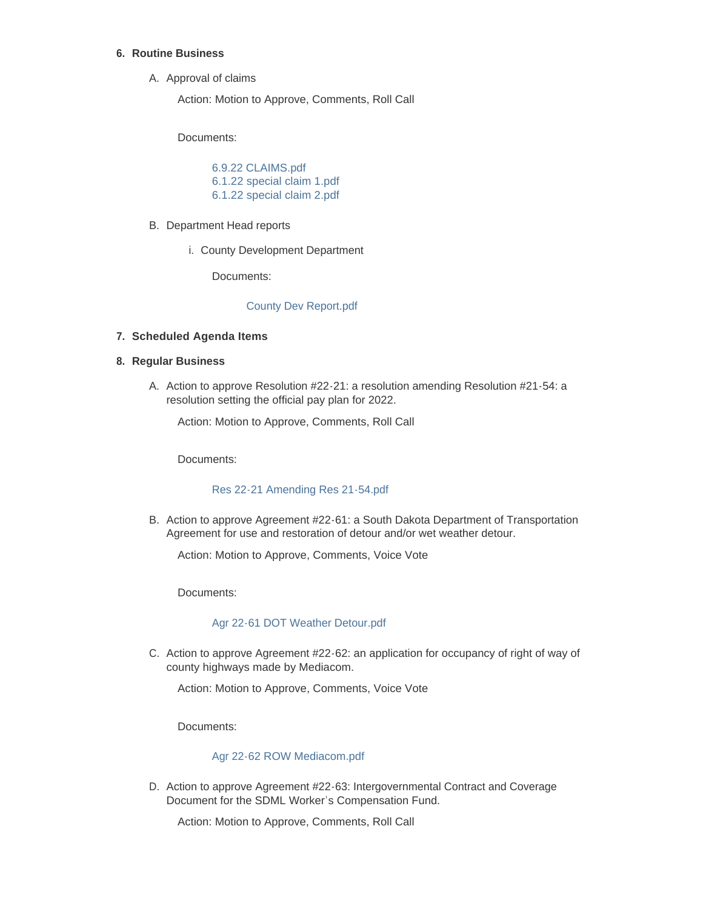## **Routine Business 6.**

A. Approval of claims

Action: Motion to Approve, Comments, Roll Call

Documents:

[6.9.22 CLAIMS.pdf](http://sd-brookingscounty2.civicplus.com/AgendaCenter/ViewFile/Item/12386?fileID=10355) [6.1.22 special claim 1.pdf](http://sd-brookingscounty2.civicplus.com/AgendaCenter/ViewFile/Item/12386?fileID=10356) [6.1.22 special claim 2.pdf](http://sd-brookingscounty2.civicplus.com/AgendaCenter/ViewFile/Item/12386?fileID=10357)

- B. Department Head reports
	- i. County Development Department

Documents:

## [County Dev Report.pdf](http://sd-brookingscounty2.civicplus.com/AgendaCenter/ViewFile/Item/12387?fileID=10358)

## **Scheduled Agenda Items 7.**

#### **Regular Business 8.**

A. Action to approve Resolution #22-21: a resolution amending Resolution #21-54: a resolution setting the official pay plan for 2022.

Action: Motion to Approve, Comments, Roll Call

Documents:

## [Res 22-21 Amending Res 21-54.pdf](http://sd-brookingscounty2.civicplus.com/AgendaCenter/ViewFile/Item/12388?fileID=10359)

B. Action to approve Agreement #22-61: a South Dakota Department of Transportation Agreement for use and restoration of detour and/or wet weather detour.

Action: Motion to Approve, Comments, Voice Vote

Documents:

## [Agr 22-61 DOT Weather Detour.pdf](http://sd-brookingscounty2.civicplus.com/AgendaCenter/ViewFile/Item/12389?fileID=10360)

C. Action to approve Agreement #22-62: an application for occupancy of right of way of county highways made by Mediacom.

Action: Motion to Approve, Comments, Voice Vote

Documents:

### [Agr 22-62 ROW Mediacom.pdf](http://sd-brookingscounty2.civicplus.com/AgendaCenter/ViewFile/Item/12390?fileID=10361)

D. Action to approve Agreement #22-63: Intergovernmental Contract and Coverage Document for the SDML Worker's Compensation Fund.

Action: Motion to Approve, Comments, Roll Call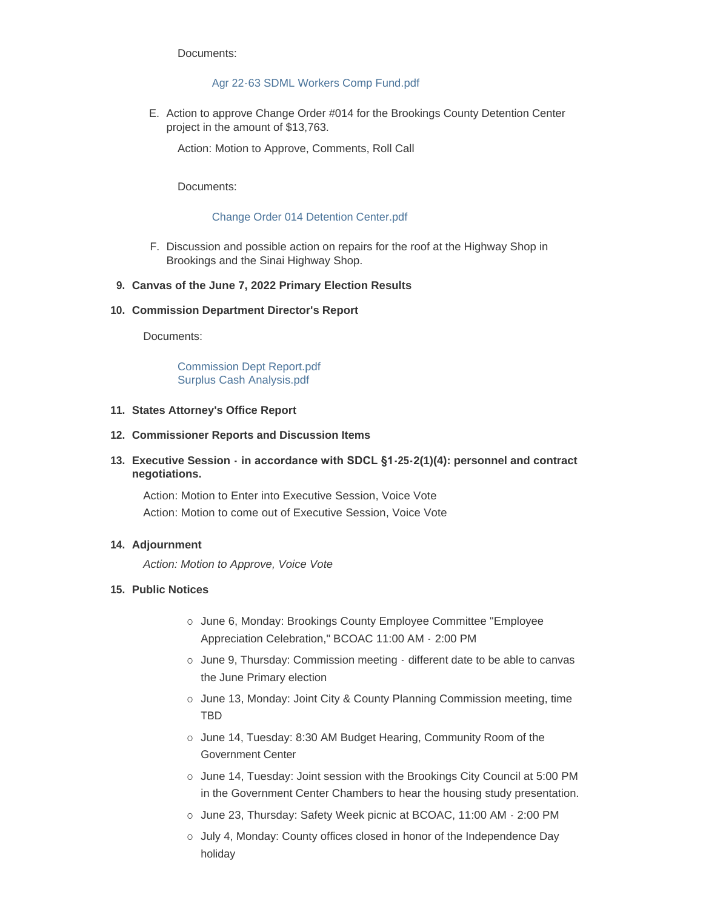Documents:

### [Agr 22-63 SDML Workers Comp Fund.pdf](http://sd-brookingscounty2.civicplus.com/AgendaCenter/ViewFile/Item/12391?fileID=10366)

E. Action to approve Change Order #014 for the Brookings County Detention Center project in the amount of \$13,763.

Action: Motion to Approve, Comments, Roll Call

Documents:

#### [Change Order 014 Detention Center.pdf](http://sd-brookingscounty2.civicplus.com/AgendaCenter/ViewFile/Item/12392?fileID=10363)

F. Discussion and possible action on repairs for the roof at the Highway Shop in Brookings and the Sinai Highway Shop.

#### **Canvas of the June 7, 2022 Primary Election Results 9.**

#### **Commission Department Director's Report 10.**

Documents:

[Commission Dept Report.pdf](http://sd-brookingscounty2.civicplus.com/AgendaCenter/ViewFile/Item/12395?fileID=10364) [Surplus Cash Analysis.pdf](http://sd-brookingscounty2.civicplus.com/AgendaCenter/ViewFile/Item/12395?fileID=10365)

#### **States Attorney's Office Report 11.**

#### **Commissioner Reports and Discussion Items 12.**

**Executive Session - in accordance with SDCL §1-25-2(1)(4): personnel and contract 13. negotiations.**

Action: Motion to Enter into Executive Session, Voice Vote Action: Motion to come out of Executive Session, Voice Vote

## **Adjournment 14.**

*Action: Motion to Approve, Voice Vote* 

## **Public Notices 15.**

- o June 6, Monday: Brookings County Employee Committee "Employee" Appreciation Celebration," BCOAC 11:00 AM - 2:00 PM
- o June 9, Thursday: Commission meeting different date to be able to canvas the June Primary election
- o June 13, Monday: Joint City & County Planning Commission meeting, time TBD
- o June 14, Tuesday: 8:30 AM Budget Hearing, Community Room of the Government Center
- o June 14, Tuesday: Joint session with the Brookings City Council at 5:00 PM in the Government Center Chambers to hear the housing study presentation.
- o June 23, Thursday: Safety Week picnic at BCOAC, 11:00 AM 2:00 PM
- ¡ July 4, Monday: County offices closed in honor of the Independence Day holiday